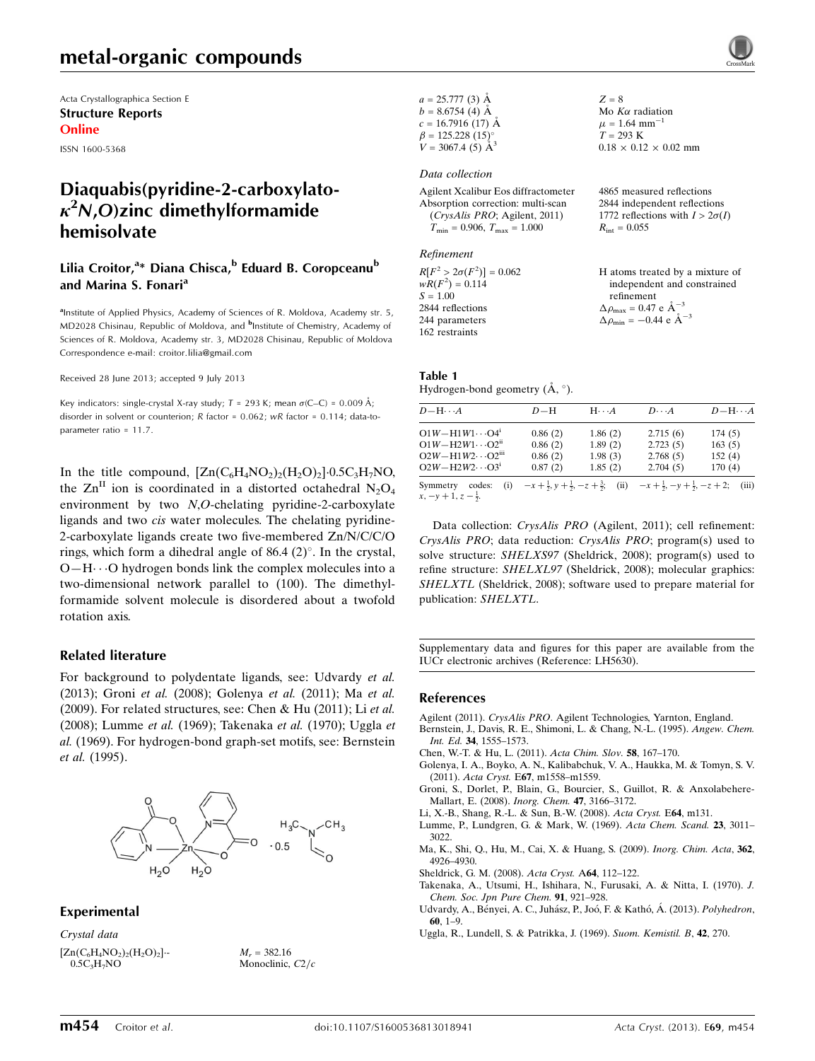Acta Crystallographica Section E Structure Reports Online

ISSN 1600-5368

# Diaquabis(pyridine-2-carboxylato- $\kappa^2$ N,O)zinc dimethylformamide hemisolvate

#### Lilia Croitor,<sup>a</sup>\* Diana Chisca,<sup>b</sup> Eduard B. Coropceanu<sup>b</sup> and Marina S. Fonari<sup>a</sup>

<sup>a</sup>Institute of Applied Physics, Academy of Sciences of R. Moldova, Academy str. 5, MD2028 Chisinau, Republic of Moldova, and <sup>b</sup>Institute of Chemistry, Academy of Sciences of R. Moldova, Academy str. 3, MD2028 Chisinau, Republic of Moldova Correspondence e-mail: [croitor.lilia@gmail.com](https://scripts.iucr.org/cgi-bin/cr.cgi?rm=pdfbb&cnor=lh5630&bbid=BB12)

Received 28 June 2013; accepted 9 July 2013

Key indicators: single-crystal X-ray study;  $T = 293$  K; mean  $\sigma$ (C–C) = 0.009 Å; disorder in solvent or counterion; R factor = 0.062; wR factor = 0.114; data-toparameter ratio = 11.7.

In the title compound,  $[Zn(C_6H_4NO_2)_2(H_2O)_2]\cdot 0.5C_3H_7NO$ , the  $\text{Zn}^{\text{II}}$  ion is coordinated in a distorted octahedral N<sub>2</sub>O<sub>4</sub> environment by two N,O-chelating pyridine-2-carboxylate ligands and two cis water molecules. The chelating pyridine-2-carboxylate ligands create two five-membered Zn/N/C/C/O rings, which form a dihedral angle of 86.4  $(2)^\circ$ . In the crystal, O-H··· O hydrogen bonds link the complex molecules into a two-dimensional network parallel to (100). The dimethylformamide solvent molecule is disordered about a twofold rotation axis.

#### Related literature

For background to polydentate ligands, see: Udvardy et al. (2013); Groni et al. (2008); Golenya et al. (2011); Ma et al. (2009). For related structures, see: Chen & Hu (2011); Li et al. (2008); Lumme et al. (1969); Takenaka et al. (1970); Uggla et al. (1969). For hydrogen-bond graph-set motifs, see: Bernstein et al. (1995).



#### Experimental

Crystal data

 $[Zn(C_6H_4NO_2)_2(H_2O)_2]$ .  $0.5C<sub>3</sub>H<sub>7</sub>NO$ 

 $M<sub>r</sub> = 382.16$ Monoclinic,  $C2/c$   $a = 25.777(3)$  Å  $b = 8.6754(4)$  Å  $c = 16.7916(17)$  Å  $\beta = 125.228 (15)$ °  $V = 3067.4 \;(\dot{5}) \; \text{\AA}^3$ 

#### Data collection

Agilent Xcalibur Eos diffractometer Absorption correction: multi-scan (CrysAlis PRO; Agilent, 2011)  $T_{\text{min}} = 0.906, T_{\text{max}} = 1.000$ 

Refinement

 $R[F^2 > 2\sigma(F^2)] = 0.062$  $wR(F^2) = 0.114$  $S = 1.00$ 2844 reflections 244 parameters 162 restraints

 $Z = 8$ Mo  $K\alpha$  radiation  $\mu = 1.64$  mm<sup>-1</sup>  $T = 293 K$  $0.18 \times 0.12 \times 0.02$  mm

4865 measured reflections 2844 independent reflections 1772 reflections with  $I > 2\sigma(I)$  $R_{\text{int}} = 0.055$ 

H atoms treated by a mixture of independent and constrained refinement  $\Delta \rho_{\text{max}} = 0.47 \text{ e A}^{-3}$  $\Delta \rho_{\rm min} = -0.44 \text{ e } \text{\AA}^{-3}$ 

# Table 1

Hydrogen-bond geometry  $(\AA, \degree)$ .

| $D - H \cdots A$                                   | $D-H$   | $H \cdot \cdot \cdot A$ | $D\cdots A$                                                                                             | $D - H \cdots A$ |
|----------------------------------------------------|---------|-------------------------|---------------------------------------------------------------------------------------------------------|------------------|
| $O1W - H1W1 \cdots O4^{i}$                         | 0.86(2) | 1.86(2)                 | 2.715(6)                                                                                                | 174(5)           |
| $O1W - H2W1 \cdots O2^{n}$                         | 0.86(2) | 1.89(2)                 | 2.723(5)                                                                                                | 163(5)           |
| $O2W - H1W2 \cdots O2$ <sup>iii</sup>              | 0.86(2) | 1.98(3)                 | 2.768(5)                                                                                                | 152(4)           |
| $O2W - H2W2 \cdots O3^i$                           | 0.87(2) | 1.85(2)                 | 2.704(5)                                                                                                | 170(4)           |
| codes:<br>Symmetry<br>$x, -y + 1, z - \frac{1}{2}$ |         |                         | (i) $-x+\frac{1}{2}, y+\frac{1}{2}, -z+\frac{3}{2}$ (ii) $-x+\frac{1}{2}, -y+\frac{1}{2}, -z+2$ ; (iii) |                  |

Data collection: CrysAlis PRO (Agilent, 2011); cell refinement: CrysAlis PRO; data reduction: CrysAlis PRO; program(s) used to solve structure: SHELXS97 (Sheldrick, 2008); program(s) used to refine structure: SHELXL97 (Sheldrick, 2008); molecular graphics: SHELXTL (Sheldrick, 2008); software used to prepare material for

Supplementary data and figures for this paper are available from the IUCr electronic archives (Reference: LH5630).

#### References

publication: SHELXTL.

Agilent (2011). CrysAlis PRO[. Agilent Technologies, Yarnton, England.](https://scripts.iucr.org/cgi-bin/cr.cgi?rm=pdfbb&cnor=lh5630&bbid=BB1)

- [Bernstein, J., Davis, R. E., Shimoni, L. & Chang, N.-L. \(1995\).](https://scripts.iucr.org/cgi-bin/cr.cgi?rm=pdfbb&cnor=lh5630&bbid=BB2) Angew. Chem. Int. Ed. 34[, 1555–1573.](https://scripts.iucr.org/cgi-bin/cr.cgi?rm=pdfbb&cnor=lh5630&bbid=BB2)
- [Chen, W.-T. & Hu, L. \(2011\).](https://scripts.iucr.org/cgi-bin/cr.cgi?rm=pdfbb&cnor=lh5630&bbid=BB3) Acta Chim. Slov. 58, 167–170.
- [Golenya, I. A., Boyko, A. N., Kalibabchuk, V. A., Haukka, M. & Tomyn, S. V.](https://scripts.iucr.org/cgi-bin/cr.cgi?rm=pdfbb&cnor=lh5630&bbid=BB4) (2011). Acta Cryst. E67[, m1558–m1559.](https://scripts.iucr.org/cgi-bin/cr.cgi?rm=pdfbb&cnor=lh5630&bbid=BB4)
- [Groni, S., Dorlet, P., Blain, G., Bourcier, S., Guillot, R. & Anxolabehere-](https://scripts.iucr.org/cgi-bin/cr.cgi?rm=pdfbb&cnor=lh5630&bbid=BB5)[Mallart, E. \(2008\).](https://scripts.iucr.org/cgi-bin/cr.cgi?rm=pdfbb&cnor=lh5630&bbid=BB5) Inorg. Chem. 47, 3166–3172.
- [Li, X.-B., Shang, R.-L. & Sun, B.-W. \(2008\).](https://scripts.iucr.org/cgi-bin/cr.cgi?rm=pdfbb&cnor=lh5630&bbid=BB6) Acta Cryst. E64, m131.
- [Lumme, P., Lundgren, G. & Mark, W. \(1969\).](https://scripts.iucr.org/cgi-bin/cr.cgi?rm=pdfbb&cnor=lh5630&bbid=BB7) Acta Chem. Scand. 23, 3011– [3022.](https://scripts.iucr.org/cgi-bin/cr.cgi?rm=pdfbb&cnor=lh5630&bbid=BB7)
- [Ma, K., Shi, Q., Hu, M., Cai, X. & Huang, S. \(2009\).](https://scripts.iucr.org/cgi-bin/cr.cgi?rm=pdfbb&cnor=lh5630&bbid=BB8) Inorg. Chim. Acta, 362, [4926–4930.](https://scripts.iucr.org/cgi-bin/cr.cgi?rm=pdfbb&cnor=lh5630&bbid=BB8)
- [Sheldrick, G. M. \(2008\).](https://scripts.iucr.org/cgi-bin/cr.cgi?rm=pdfbb&cnor=lh5630&bbid=BB9) Acta Cryst. A64, 112–122.
- [Takenaka, A., Utsumi, H., Ishihara, N., Furusaki, A. & Nitta, I. \(1970\).](https://scripts.iucr.org/cgi-bin/cr.cgi?rm=pdfbb&cnor=lh5630&bbid=BB10) J. [Chem. Soc. Jpn Pure Chem.](https://scripts.iucr.org/cgi-bin/cr.cgi?rm=pdfbb&cnor=lh5630&bbid=BB10) 91, 921–928.
- Udvardy, A., Bényei, A. C., Juhász, P., Joó, F. & Kathó, Á. (2013). Polyhedron, 60[, 1–9.](https://scripts.iucr.org/cgi-bin/cr.cgi?rm=pdfbb&cnor=lh5630&bbid=BB11)
- [Uggla, R., Lundell, S. & Patrikka, J. \(1969\).](https://scripts.iucr.org/cgi-bin/cr.cgi?rm=pdfbb&cnor=lh5630&bbid=BB12) Suom. Kemistil. B, 42, 270.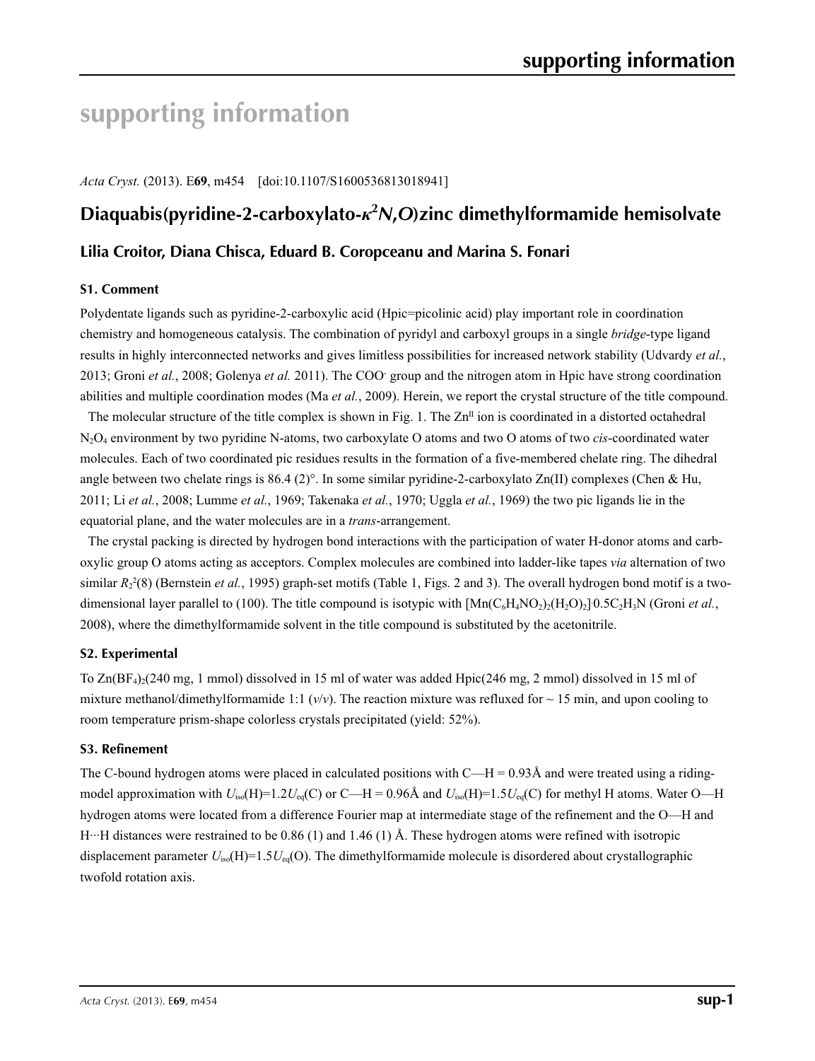# **supporting information**

*Acta Cryst.* (2013). E**69**, m454 [doi:10.1107/S1600536813018941]

# **Diaquabis(pyridine-2-carboxylato-***κ***<sup>2</sup>** *N***,***O***)zinc dimethylformamide hemisolvate**

### **Lilia Croitor, Diana Chisca, Eduard B. Coropceanu and Marina S. Fonari**

#### **S1. Comment**

Polydentate ligands such as pyridine-2-carboxylic acid (Hpic=picolinic acid) play important role in coordination chemistry and homogeneous catalysis. The combination of pyridyl and carboxyl groups in a single *bridge*-type ligand results in highly interconnected networks and gives limitless possibilities for increased network stability (Udvardy *et al.*, 2013; Groni *et al.*, 2008; Golenya *et al.* 2011). The COO- group and the nitrogen atom in Hpic have strong coordination abilities and multiple coordination modes (Ma *et al.*, 2009). Herein, we report the crystal structure of the title compound.

The molecular structure of the title complex is shown in Fig. 1. The  $\text{Zn}^{\text{II}}$  ion is coordinated in a distorted octahedral N2O4 environment by two pyridine N-atoms, two carboxylate O atoms and two O atoms of two *cis*-coordinated water molecules. Each of two coordinated pic residues results in the formation of a five-membered chelate ring. The dihedral angle between two chelate rings is 86.4 (2)°. In some similar pyridine-2-carboxylato Zn(II) complexes (Chen & Hu, 2011; Li *et al.*, 2008; Lumme *et al.*, 1969; Takenaka *et al.*, 1970; Uggla *et al.*, 1969) the two pic ligands lie in the equatorial plane, and the water molecules are in a *trans*-arrangement.

The crystal packing is directed by hydrogen bond interactions with the participation of water H-donor atoms and carboxylic group O atoms acting as acceptors. Complex molecules are combined into ladder-like tapes *via* alternation of two similar  $R_2^2(8)$  (Bernstein *et al.*, 1995) graph-set motifs (Table 1, Figs. 2 and 3). The overall hydrogen bond motif is a twodimensional layer parallel to (100). The title compound is isotypic with  $[Mn(C_6H_4NO_2)_2(H_2O)_2]$ <sup>0.5</sup>C<sub>2</sub>H<sub>3</sub>N (Groni *et al.*, 2008), where the dimethylformamide solvent in the title compound is substituted by the acetonitrile.

#### **S2. Experimental**

To  $Zn(BF<sub>4</sub>)(240$  mg, 1 mmol) dissolved in 15 ml of water was added Hpic(246 mg, 2 mmol) dissolved in 15 ml of mixture methanol/dimethylformamide 1:1  $(v/v)$ . The reaction mixture was refluxed for  $\sim$  15 min, and upon cooling to room temperature prism-shape colorless crystals precipitated (yield: 52%).

#### **S3. Refinement**

The C-bound hydrogen atoms were placed in calculated positions with  $C-H = 0.93\text{\AA}$  and were treated using a ridingmodel approximation with  $U_{iso}(H)=1.2U_{eq}(C)$  or C—H = 0.96Å and  $U_{iso}(H)=1.5U_{eq}(C)$  for methyl H atoms. Water O—H hydrogen atoms were located from a difference Fourier map at intermediate stage of the refinement and the O—H and H···H distances were restrained to be 0.86 (1) and 1.46 (1) Å. These hydrogen atoms were refined with isotropic displacement parameter  $U_{iso}(H)=1.5U_{eq}(O)$ . The dimethylformamide molecule is disordered about crystallographic twofold rotation axis.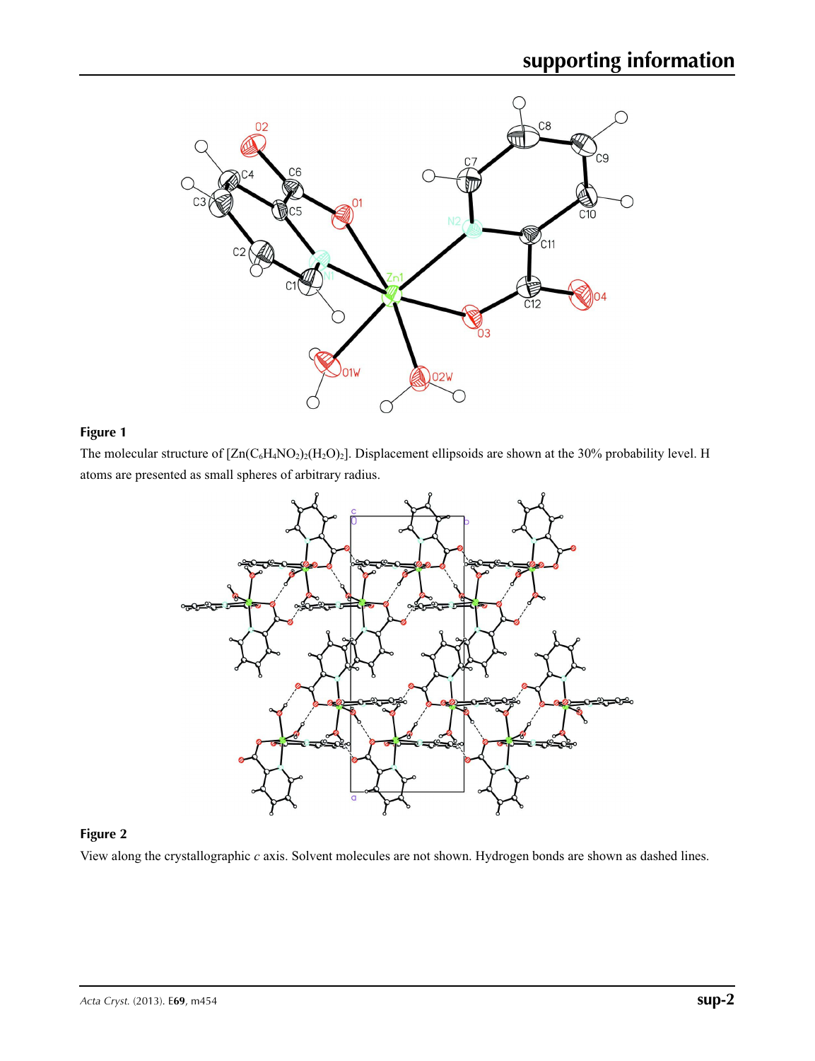

#### **Figure 1**

The molecular structure of  $[Zn(C_6H_4NO_2)_2(H_2O)_2]$ . Displacement ellipsoids are shown at the 30% probability level. H atoms are presented as small spheres of arbitrary radius.



## **Figure 2**

View along the crystallographic *c* axis. Solvent molecules are not shown. Hydrogen bonds are shown as dashed lines.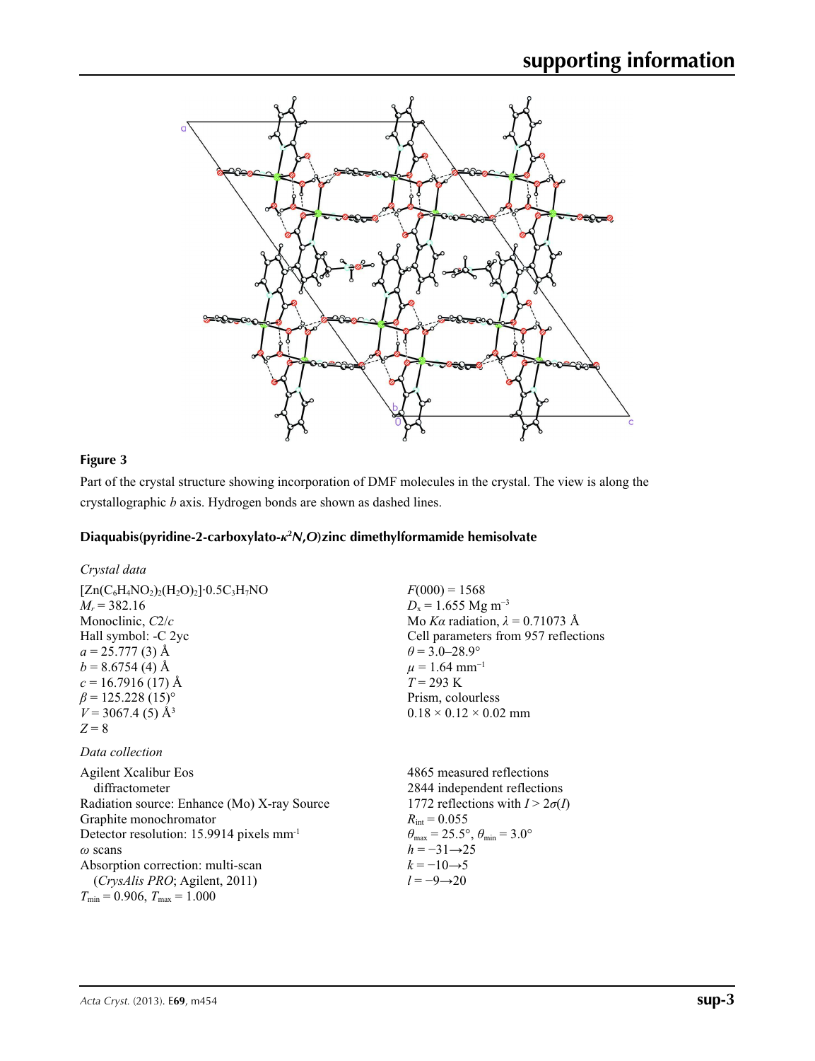

### **Figure 3**

Part of the crystal structure showing incorporation of DMF molecules in the crystal. The view is along the crystallographic *b* axis. Hydrogen bonds are shown as dashed lines.

## **Diaquabis(pyridine-2-carboxylato-***κ***<sup>2</sup>** *N***,***O***)zinc dimethylformamide hemisolvate**

| $F(000) = 1568$                                                         |
|-------------------------------------------------------------------------|
| $D_x = 1.655$ Mg m <sup>-3</sup>                                        |
| Mo Ka radiation, $\lambda = 0.71073$ Å                                  |
| Cell parameters from 957 reflections                                    |
| $\theta$ = 3.0–28.9°                                                    |
| $\mu = 1.64$ mm <sup>-1</sup>                                           |
| $T = 293 \text{ K}$                                                     |
| Prism, colourless                                                       |
| $0.18 \times 0.12 \times 0.02$ mm                                       |
|                                                                         |
|                                                                         |
| 4865 measured reflections                                               |
| 2844 independent reflections                                            |
| 1772 reflections with $I > 2\sigma(I)$                                  |
| $R_{\text{int}} = 0.055$                                                |
| $\theta_{\text{max}} = 25.5^{\circ}, \theta_{\text{min}} = 3.0^{\circ}$ |
| $h = -31 \rightarrow 25$                                                |
|                                                                         |

 $k = -10 \rightarrow 5$ *l* = −9→20

 $T_{\text{min}} = 0.906, T_{\text{max}} = 1.000$ 

Absorption correction: multi-scan (*CrysAlis PRO*; Agilent, 2011)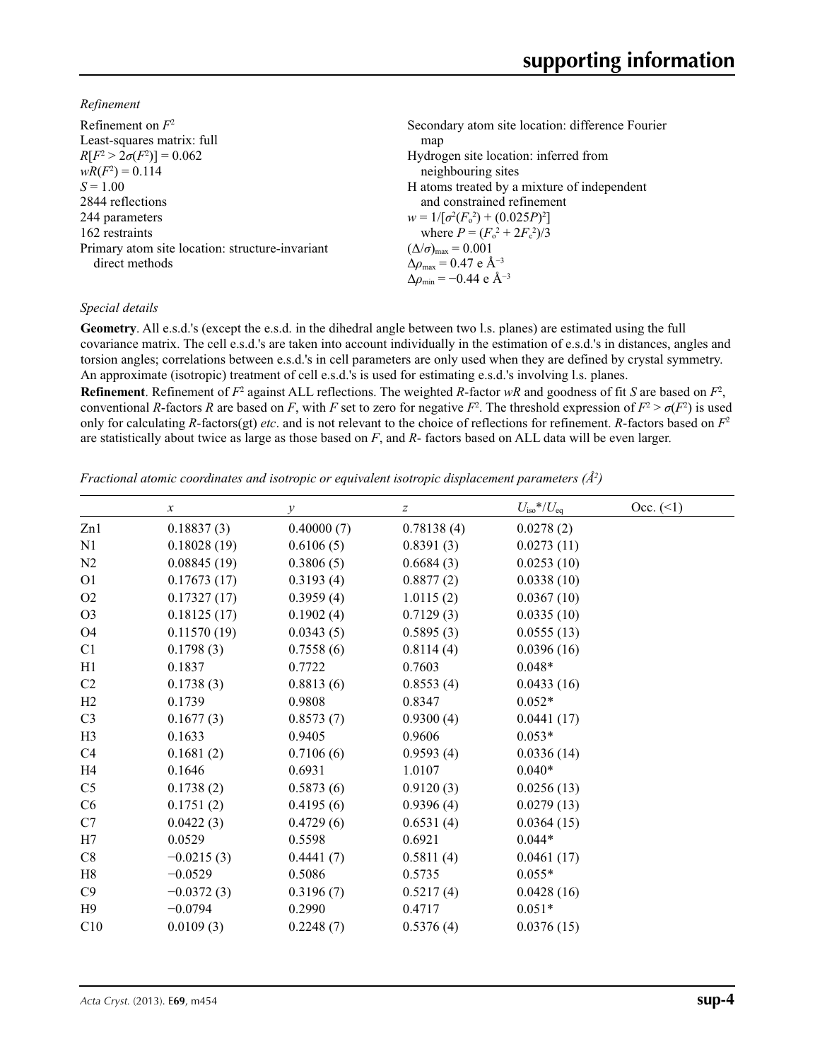*Refinement*

| Secondary atom site location: difference Fourier          |
|-----------------------------------------------------------|
| map                                                       |
| Hydrogen site location: inferred from                     |
| neighbouring sites                                        |
| H atoms treated by a mixture of independent               |
| and constrained refinement                                |
| $w = 1/[\sigma^2(F_0^2) + (0.025P)^2]$                    |
| where $P = (F_0^2 + 2F_c^2)/3$                            |
| $(\Delta/\sigma)_{\text{max}} = 0.001$                    |
| $\Delta\rho_{\text{max}} = 0.47$ e $\AA^{-3}$             |
| $\Delta\rho_{\rm min} = -0.44 \text{ e } \text{\AA}^{-3}$ |
|                                                           |

#### *Special details*

**Geometry**. All e.s.d.'s (except the e.s.d. in the dihedral angle between two l.s. planes) are estimated using the full covariance matrix. The cell e.s.d.'s are taken into account individually in the estimation of e.s.d.'s in distances, angles and torsion angles; correlations between e.s.d.'s in cell parameters are only used when they are defined by crystal symmetry. An approximate (isotropic) treatment of cell e.s.d.'s is used for estimating e.s.d.'s involving l.s. planes.

**Refinement**. Refinement of  $F^2$  against ALL reflections. The weighted *R*-factor  $wR$  and goodness of fit *S* are based on  $F^2$ , conventional *R*-factors *R* are based on *F*, with *F* set to zero for negative  $F^2$ . The threshold expression of  $F^2 > \sigma(F^2)$  is used only for calculating *R*-factors(gt) *etc*. and is not relevant to the choice of reflections for refinement. *R*-factors based on *F*<sup>2</sup> are statistically about twice as large as those based on *F*, and *R*- factors based on ALL data will be even larger.

*Fractional atomic coordinates and isotropic or equivalent isotropic displacement parameters (Å<sup>2</sup>)* 

|                | $\boldsymbol{\chi}$ | $\mathcal{Y}$ | z          | $U_{\rm iso}*/U_{\rm eq}$ | Occ. (2) |
|----------------|---------------------|---------------|------------|---------------------------|----------|
| Zn1            | 0.18837(3)          | 0.40000(7)    | 0.78138(4) | 0.0278(2)                 |          |
| N1             | 0.18028(19)         | 0.6106(5)     | 0.8391(3)  | 0.0273(11)                |          |
| N2             | 0.08845(19)         | 0.3806(5)     | 0.6684(3)  | 0.0253(10)                |          |
| O <sub>1</sub> | 0.17673(17)         | 0.3193(4)     | 0.8877(2)  | 0.0338(10)                |          |
| O2             | 0.17327(17)         | 0.3959(4)     | 1.0115(2)  | 0.0367(10)                |          |
| O <sub>3</sub> | 0.18125(17)         | 0.1902(4)     | 0.7129(3)  | 0.0335(10)                |          |
| O <sub>4</sub> | 0.11570(19)         | 0.0343(5)     | 0.5895(3)  | 0.0555(13)                |          |
| C1             | 0.1798(3)           | 0.7558(6)     | 0.8114(4)  | 0.0396(16)                |          |
| H1             | 0.1837              | 0.7722        | 0.7603     | $0.048*$                  |          |
| C <sub>2</sub> | 0.1738(3)           | 0.8813(6)     | 0.8553(4)  | 0.0433(16)                |          |
| H2             | 0.1739              | 0.9808        | 0.8347     | $0.052*$                  |          |
| C <sub>3</sub> | 0.1677(3)           | 0.8573(7)     | 0.9300(4)  | 0.0441(17)                |          |
| H3             | 0.1633              | 0.9405        | 0.9606     | $0.053*$                  |          |
| C <sub>4</sub> | 0.1681(2)           | 0.7106(6)     | 0.9593(4)  | 0.0336(14)                |          |
| H <sub>4</sub> | 0.1646              | 0.6931        | 1.0107     | $0.040*$                  |          |
| C <sub>5</sub> | 0.1738(2)           | 0.5873(6)     | 0.9120(3)  | 0.0256(13)                |          |
| C6             | 0.1751(2)           | 0.4195(6)     | 0.9396(4)  | 0.0279(13)                |          |
| C7             | 0.0422(3)           | 0.4729(6)     | 0.6531(4)  | 0.0364(15)                |          |
| H7             | 0.0529              | 0.5598        | 0.6921     | $0.044*$                  |          |
| C8             | $-0.0215(3)$        | 0.4441(7)     | 0.5811(4)  | 0.0461(17)                |          |
| H8             | $-0.0529$           | 0.5086        | 0.5735     | $0.055*$                  |          |
| C9             | $-0.0372(3)$        | 0.3196(7)     | 0.5217(4)  | 0.0428(16)                |          |
| H9             | $-0.0794$           | 0.2990        | 0.4717     | $0.051*$                  |          |
| C10            | 0.0109(3)           | 0.2248(7)     | 0.5376(4)  | 0.0376(15)                |          |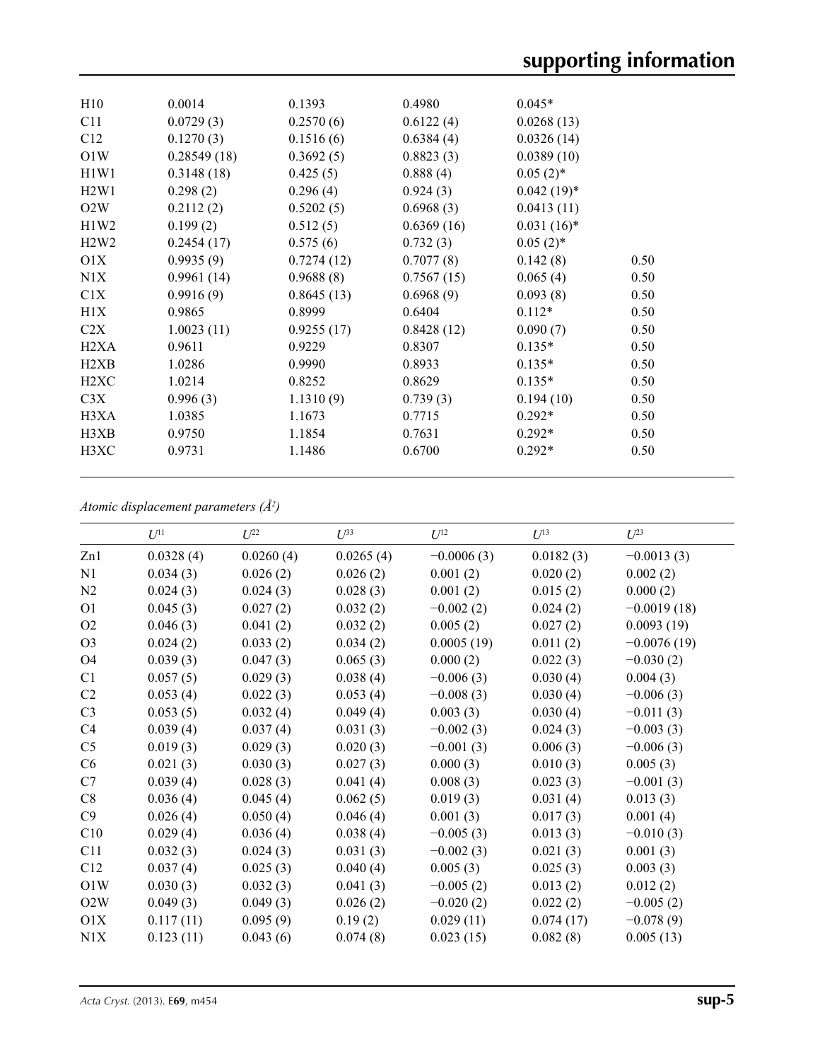| H10               | 0.0014      | 0.1393     | 0.4980     | $0.045*$      |      |
|-------------------|-------------|------------|------------|---------------|------|
| C11               | 0.0729(3)   | 0.2570(6)  | 0.6122(4)  | 0.0268(13)    |      |
| C12               | 0.1270(3)   | 0.1516(6)  | 0.6384(4)  | 0.0326(14)    |      |
| O1W               | 0.28549(18) | 0.3692(5)  | 0.8823(3)  | 0.0389(10)    |      |
| H1W1              | 0.3148(18)  | 0.425(5)   | 0.888(4)   | $0.05(2)$ *   |      |
| H2W1              | 0.298(2)    | 0.296(4)   | 0.924(3)   | $0.042(19)*$  |      |
| O2W               | 0.2112(2)   | 0.5202(5)  | 0.6968(3)  | 0.0413(11)    |      |
| H1W2              | 0.199(2)    | 0.512(5)   | 0.6369(16) | $0.031(16)^*$ |      |
| H2W2              | 0.2454(17)  | 0.575(6)   | 0.732(3)   | $0.05(2)$ *   |      |
| O <sub>1</sub> X  | 0.9935(9)   | 0.7274(12) | 0.7077(8)  | 0.142(8)      | 0.50 |
| N1X               | 0.9961(14)  | 0.9688(8)  | 0.7567(15) | 0.065(4)      | 0.50 |
| C1X               | 0.9916(9)   | 0.8645(13) | 0.6968(9)  | 0.093(8)      | 0.50 |
| H1X               | 0.9865      | 0.8999     | 0.6404     | $0.112*$      | 0.50 |
| C2X               | 1.0023(11)  | 0.9255(17) | 0.8428(12) | 0.090(7)      | 0.50 |
| H <sub>2</sub> XA | 0.9611      | 0.9229     | 0.8307     | $0.135*$      | 0.50 |
| H <sub>2</sub> XB | 1.0286      | 0.9990     | 0.8933     | $0.135*$      | 0.50 |
| H <sub>2</sub> XC | 1.0214      | 0.8252     | 0.8629     | $0.135*$      | 0.50 |
| C3X               | 0.996(3)    | 1.1310(9)  | 0.739(3)   | 0.194(10)     | 0.50 |
| H3XA              | 1.0385      | 1.1673     | 0.7715     | $0.292*$      | 0.50 |
| H3XB              | 0.9750      | 1.1854     | 0.7631     | $0.292*$      | 0.50 |
| H3XC              | 0.9731      | 1.1486     | 0.6700     | $0.292*$      | 0.50 |
|                   |             |            |            |               |      |

*Atomic displacement parameters (Å2 )*

|                | $U^{11}$  | $L^{22}$  | $\mathcal{L}^{\beta 3}$ | $U^{12}$     | $U^{13}$  | $U^{23}$      |
|----------------|-----------|-----------|-------------------------|--------------|-----------|---------------|
| Zn1            | 0.0328(4) | 0.0260(4) | 0.0265(4)               | $-0.0006(3)$ | 0.0182(3) | $-0.0013(3)$  |
| N1             | 0.034(3)  | 0.026(2)  | 0.026(2)                | 0.001(2)     | 0.020(2)  | 0.002(2)      |
| N2             | 0.024(3)  | 0.024(3)  | 0.028(3)                | 0.001(2)     | 0.015(2)  | 0.000(2)      |
| O <sub>1</sub> | 0.045(3)  | 0.027(2)  | 0.032(2)                | $-0.002(2)$  | 0.024(2)  | $-0.0019(18)$ |
| O <sub>2</sub> | 0.046(3)  | 0.041(2)  | 0.032(2)                | 0.005(2)     | 0.027(2)  | 0.0093(19)    |
| O <sub>3</sub> | 0.024(2)  | 0.033(2)  | 0.034(2)                | 0.0005(19)   | 0.011(2)  | $-0.0076(19)$ |
| O4             | 0.039(3)  | 0.047(3)  | 0.065(3)                | 0.000(2)     | 0.022(3)  | $-0.030(2)$   |
| C1             | 0.057(5)  | 0.029(3)  | 0.038(4)                | $-0.006(3)$  | 0.030(4)  | 0.004(3)      |
| C2             | 0.053(4)  | 0.022(3)  | 0.053(4)                | $-0.008(3)$  | 0.030(4)  | $-0.006(3)$   |
| C <sub>3</sub> | 0.053(5)  | 0.032(4)  | 0.049(4)                | 0.003(3)     | 0.030(4)  | $-0.011(3)$   |
| C <sub>4</sub> | 0.039(4)  | 0.037(4)  | 0.031(3)                | $-0.002(3)$  | 0.024(3)  | $-0.003(3)$   |
| C <sub>5</sub> | 0.019(3)  | 0.029(3)  | 0.020(3)                | $-0.001(3)$  | 0.006(3)  | $-0.006(3)$   |
| C6             | 0.021(3)  | 0.030(3)  | 0.027(3)                | 0.000(3)     | 0.010(3)  | 0.005(3)      |
| C7             | 0.039(4)  | 0.028(3)  | 0.041(4)                | 0.008(3)     | 0.023(3)  | $-0.001(3)$   |
| C8             | 0.036(4)  | 0.045(4)  | 0.062(5)                | 0.019(3)     | 0.031(4)  | 0.013(3)      |
| C9             | 0.026(4)  | 0.050(4)  | 0.046(4)                | 0.001(3)     | 0.017(3)  | 0.001(4)      |
| C10            | 0.029(4)  | 0.036(4)  | 0.038(4)                | $-0.005(3)$  | 0.013(3)  | $-0.010(3)$   |
| C11            | 0.032(3)  | 0.024(3)  | 0.031(3)                | $-0.002(3)$  | 0.021(3)  | 0.001(3)      |
| C12            | 0.037(4)  | 0.025(3)  | 0.040(4)                | 0.005(3)     | 0.025(3)  | 0.003(3)      |
| O1W            | 0.030(3)  | 0.032(3)  | 0.041(3)                | $-0.005(2)$  | 0.013(2)  | 0.012(2)      |
| O2W            | 0.049(3)  | 0.049(3)  | 0.026(2)                | $-0.020(2)$  | 0.022(2)  | $-0.005(2)$   |
| O1X            | 0.117(11) | 0.095(9)  | 0.19(2)                 | 0.029(11)    | 0.074(17) | $-0.078(9)$   |
| N1X            | 0.123(11) | 0.043(6)  | 0.074(8)                | 0.023(15)    | 0.082(8)  | 0.005(13)     |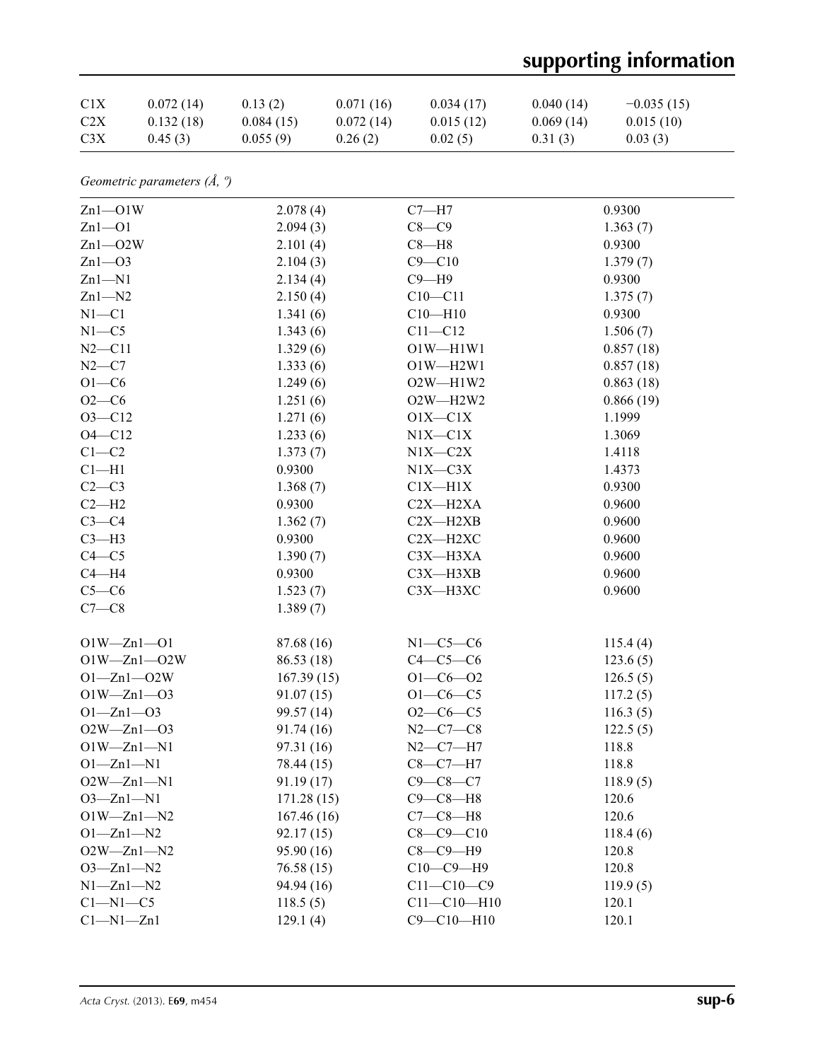# **supporting information**

| C <sub>1</sub> X | 0.072(14) | 0.13(2)   | 0.071(16) | 0.034(17) | 0.040(14) | $-0.035(15)$ |
|------------------|-----------|-----------|-----------|-----------|-----------|--------------|
| C <sub>2</sub> X | 0.132(18) | 0.084(15) | 0.072(14) | 0.015(12) | 0.069(14) | 0.015(10)    |
| C <sub>3</sub> X | 0.45(3)   | 0.055(9)  | 0.26(2)   | 0.02(5)   | 0.31(3)   | 0.03(3)      |

*Geometric parameters (Å, º)*

| $Zn1 - O1W$       | 2.078(4)   | $C7 - H7$         | 0.9300    |
|-------------------|------------|-------------------|-----------|
| $Zn1 - O1$        | 2.094(3)   | $C8-C9$           | 1.363(7)  |
| $Zn1 - O2W$       | 2.101(4)   | $C8 - H8$         | 0.9300    |
| $Zn1 - O3$        | 2.104(3)   | $C9 - C10$        | 1.379(7)  |
| $Zn1 - N1$        | 2.134(4)   | $C9 - H9$         | 0.9300    |
| $Zn1 - N2$        | 2.150(4)   | $C10 - C11$       | 1.375(7)  |
| $N1 - C1$         | 1.341(6)   | $C10 - H10$       | 0.9300    |
| $N1 - C5$         | 1.343(6)   | $C11 - C12$       | 1.506(7)  |
| $N2 - C11$        | 1.329(6)   | $O1W - H1W1$      | 0.857(18) |
| $N2-C7$           | 1.333(6)   | $O1W - H2W1$      | 0.857(18) |
| $O1 - C6$         | 1.249(6)   | $O2W - H1W2$      | 0.863(18) |
| $O2 - C6$         | 1.251(6)   | O2W-H2W2          | 0.866(19) |
| $O3 - C12$        | 1.271(6)   | $O1X - C1X$       | 1.1999    |
| $O4 - C12$        | 1.233(6)   | $N1X-C1X$         | 1.3069    |
| $C1-C2$           | 1.373(7)   | $N1X-C2X$         | 1.4118    |
| $Cl-H1$           | 0.9300     | $N1X-C3X$         | 1.4373    |
| $C2-C3$           | 1.368(7)   | $C1X - H1X$       | 0.9300    |
| $C2-H2$           | 0.9300     | C2X-H2XA          | 0.9600    |
| $C3-C4$           | 1.362(7)   | $C2X - H2XB$      | 0.9600    |
| $C3-H3$           | 0.9300     | C2X-H2XC          | 0.9600    |
| $C4 - C5$         | 1.390(7)   | $C3X - H3XA$      | 0.9600    |
| $C4 - H4$         | 0.9300     | $C3X - H3XB$      | 0.9600    |
| $C5-C6$           | 1.523(7)   | C3X-H3XC          | 0.9600    |
| $C7-C8$           | 1.389(7)   |                   |           |
|                   |            |                   |           |
| $O1W - Zn1 - O1$  | 87.68 (16) | $N1-C5-C6$        | 115.4(4)  |
| $O1W - Zn1 - O2W$ | 86.53 (18) | $C4-C5-C6$        | 123.6(5)  |
| $O1 - Zn1 - O2W$  | 167.39(15) | $O1 - C6 - O2$    | 126.5(5)  |
| $O1W - Zn1 - O3$  | 91.07(15)  | $O1 - C6 - C5$    | 117.2(5)  |
| $O1 - Zn1 - O3$   | 99.57 (14) | $O2-C6-C5$        | 116.3(5)  |
| $O2W - Zn1 - O3$  | 91.74 (16) | $N2 - C7 - C8$    | 122.5(5)  |
| $O1W - Zn1 - N1$  | 97.31 (16) | $N2 - C7 - H7$    | 118.8     |
| $O1 - Zn1 - N1$   | 78.44 (15) | $C8-C7-H7$        | 118.8     |
| $O2W - Zn1 - N1$  | 91.19 (17) | $C9 - C8 - C7$    | 118.9(5)  |
| $O3 - Zn1 - N1$   | 171.28(15) | $C9-C8-H8$        | 120.6     |
| $O1W - Zn1 - N2$  | 167.46(16) | $C7-C8-H8$        | 120.6     |
| $O1 - Zn1 - N2$   | 92.17(15)  | $C8 - C9 - C10$   | 118.4(6)  |
| $O2W - Zn1 - N2$  | 95.90 (16) | $C8-C9-H9$        | 120.8     |
| $O3 - Zn1 - N2$   | 76.58(15)  | $C10-C9-H9$       | 120.8     |
| $N1 - Zn1 - N2$   | 94.94 (16) | $C11 - C10 - C9$  | 119.9(5)  |
| $C1 - N1 - C5$    | 118.5(5)   | $C11 - C10 - H10$ | 120.1     |
| $Cl-M1-Zn1$       | 129.1(4)   | $C9 - C10 - H10$  | 120.1     |